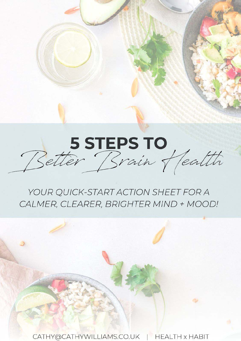

# YOUR QUICK-START ACTION SHEET FOR A CALMER, CLEARER, BRIGHTER MIND + MOOD!

CATHY@CATHYWILLIAMS.CO.UK **HEALTH x HABIT**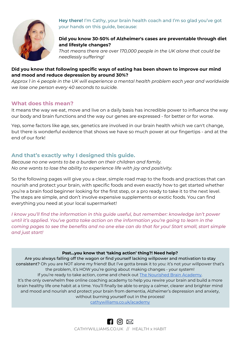

**Hey there!** I'm Cathy, your brain health coach and I'm so glad you've got your hands on this guide, because:

## **Did you know 30-50% of Alzheimer's cases are preventable through diet and lifestyle changes?**

*That means there are over 170,000 people in the UK alone that could be needlessly suffering!*

## **Did you know that following specific ways of eating has been shown to improve our mind and mood and reduce depression by around 30%?**

*Approx 1 in 4 people in the UK will experience a mental health problem each year and worldwide we lose one person every 40 seconds to suicide.* 

## **What does this mean?**

It means the way we eat, move and live on a daily basis has incredible power to influence the way our body and brain functions and the way our genes are expressed - for better or for worse.

Yep, some factors like age, sex, genetics are involved in our brain health which we can't change, but there is wonderful evidence that shows we have so much power at our fingertips - and at the end of our fork!

## **And that's exactly why I designed this guide.**

*Because no one wants to be a burden on their children and family. No one wants to lose the ability to experience life with joy and positivity.* 

So the following pages will give you a clear, simple road map to the foods and practices that can nourish and protect your brain, with specific foods and even exactly how to get started whether you're a brain food beginner looking for the first step, or a pro ready to take it to the next level. The steps are simple, and don't involve expensive supplements or exotic foods. You can find everything you need at your local supermarket!

*I know you'll find the information in this guide useful, but remember: knowledge isn't power until it's applied. You've gotta take action on the information you're going to learn in the coming pages to see the benefits and no one else can do that for you! Start small, start simple and just start!* 

## **Psst...you know that 'taking action' thing?! Need help?**

Are you always falling off the wagon or find yourself lacking willpower and motivation to stay consistent? Oh you are NOT alone my friend! But I've gotta break it to you: it's not your willpower that's the problem, it's HOW you're going about making changes - your system! If you're ready to take action, come and check out **The Nourished Brain Academy**. It's the only overwhelm free online coaching academy to help you rewire your brain and build a more

brain healthy life one habit at a time. You'll finally be able to enjoy a calmer, clearer and brighter mind and mood and nourish and protect your brain from dementia, Alzheimer's depression and anxiety, without burning yourself out in the process!

[cathywilliams.co.uk/academy](http://cathywilliams.co.uk/academy)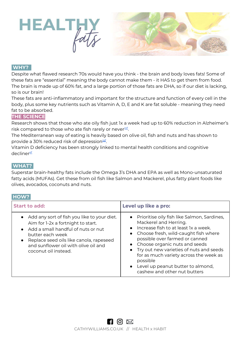



Despite what flawed research 70s would have you think - the brain and body loves fats! Some of these fats are "essential" meaning the body cannot make them - it HAS to get them from food. The brain is made up of 60% fat, and a large portion of those fats are DHA, so if our diet is lacking, so is our brain!

These fats are anti-inflammatory and important for the structure and function of every cell in the body, plus some key nutrients such as Vitamin A, D, E and K are fat soluble - meaning they need fat to be absorbed.

## **THE SCIENCE**

Research shows that those who ate oily fish just 1x a week had up to 60% reduction in Alzheimer's risk compared to those who ate fish rarely or nevereef.

The Mediterranean way of eating is heavily based on olive oil, fish and nuts and has shown to provide a 30% reduced risk of depression<sup>[ref](https://www.sciencedaily.com/releases/2009/10/091005181623.htm#:~:text=After%20a%20median%20(midpoint)%20of,the%20lowest%20Mediterranean%20diet%20scores.)</sup>.

Vitamin D deficiency has been strongly linked to mental health conditions and cognitive decliner<sup>[ef](https://www.ncbi.nlm.nih.gov/pmc/articles/PMC6132681/)</sup>

## **WHAT?.**

Superstar brain-healthy fats include the Omega 3's DHA and EPA as well as Mono-unsaturated fatty acids (MUFAs). Get these from oil fish like Salmon and Mackerel, plus fatty plant foods like olives, avocados, coconuts and nuts.

#### **HOW?.**

| <b>Start to add:</b>                                                                                                                                                                                                                                         | Level up like a pro:                                                                                                                                                                                                                                                                                                                                                                                                                                 |
|--------------------------------------------------------------------------------------------------------------------------------------------------------------------------------------------------------------------------------------------------------------|------------------------------------------------------------------------------------------------------------------------------------------------------------------------------------------------------------------------------------------------------------------------------------------------------------------------------------------------------------------------------------------------------------------------------------------------------|
| • Add any sort of fish you like to your diet.<br>Aim for 1-2x a fortnight to start.<br>• Add a small handful of nuts or nut<br>butter each week<br>• Replace seed oils like canola, rapeseed<br>and sunflower oil with olive oil and<br>coconut oil instead. | • Prioritise oily fish like Salmon, Sardines,<br>Mackerel and Herring.<br>$\bullet$ Increase fish to at least $1x$ a week.<br>Choose fresh, wild-caught fish where<br>$\bullet$<br>possible over farmed or canned<br>Choose organic nuts and seeds<br>$\bullet$<br>• Try out new varieties of nuts and seeds<br>for as much variety across the week as<br>possible<br>Level up peanut butter to almond,<br>$\bullet$<br>cashew and other nut butters |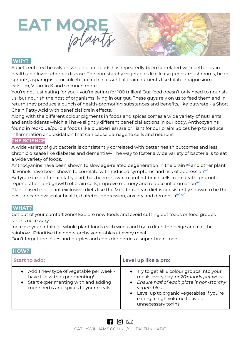

A diet centered heavily on whole plant foods has repeatedly been correlated with better brain health and lower chornic disease. The non-starchy vegetables like leafy greens, mushrooms, bean sprouts, asparagus, broccoli etc are rich in essential brain nutrients like folate, magnesium, calcium, Vitamin K and so much more.

You're not just eating for you - you're eating for 100 trillion! Our food doesn't only need to nourish us, but nourish the host of organisms living in our gut. These guys rely on us to feed them and in return they produce a bunch of health-promoting substances and benefits, like butyrate - a Short Chain Fatty Acid with beneficial brain effects.

Along with the different colour pigments in foods and spices comes a wide variety of nutrients and antioxidants which all have slightly different beneficial actions in our body. Anthocyanins found in red/blue/purple foods (like blueberries) are brilliant for our brain! Spices help to reduce inflammation and oxidation that can cause damage to cells and neurons.

## **THE SCIENCE**

A wide variety of gut bacteria is consistently correlated with better health outcomes and less chronic disease like diabetes and dementia[ref](https://www.ncbi.nlm.nih.gov/pmc/articles/PMC6366966/#:~:text=Gut%20microbial%20diversity%20generally%20decreases,obesity%20and%20type%202%20diabetes.). The way to foster a wide variety of bacteria is to eat a wide variety of foods.

Anthocyanins have been shown to slow age-related degeneration in the brain <sup>[ref](https://pubmed.ncbi.nlm.nih.gov/31766696/)</sup> and other plant flavonols have been shown to correlate with reduced symptoms and risk of depression<del>[ref](https://pubmed.ncbi.nlm.nih.gov/29695122/)</del> Butyrate (a short chain fatty acid) has been shown to protect brain cells from death, promote regeneration and growth of brain cells, improve memory and reduce inflammation<sup>[ref](https://medium.com/@poetpete/how-can-butyrate-save-your-brain-improve-your-mood-47ed072bd3a5)</sup>. Plant based (not plant exclusive) diets like the Mediterranean diet is consistently shown to be the best for cardiovascular health, diabetes, depression, anxiety and dementia<sup>[ref](https://www.nejm.org/doi/full/10.1056/NEJMoa1200303), ref</sup>

## **WHAT?.**

Get out of your comfort zone! Explore new foods and avoid cutting out foods or food groups unless necessary.

Increase your intake of whole plant foods each week and try to ditch the beige and eat the rainbow. Prioritise the non-starchy vegetables at every meal.

Don't forget the blues and purples and consider berries a super-brain-food!

## **HOW?.**

| <b>Start to add:</b>                                                                                                                                     | Level up like a pro:                                                                                                                                                                                                                                   |
|----------------------------------------------------------------------------------------------------------------------------------------------------------|--------------------------------------------------------------------------------------------------------------------------------------------------------------------------------------------------------------------------------------------------------|
| • Add 1 new type of vegetable per week -<br>have fun with experimenting!<br>• Start experimenting with and adding<br>more herbs and spices to your meals | • Try to get all 6 colour groups into your<br>meals every day, or 20+ foods per week.<br>• Ensure half of each plate is non-starchy<br>vegetables<br>• Level up to organic vegetables if you're<br>eating a high volume to avoid<br>unnecessary toxins |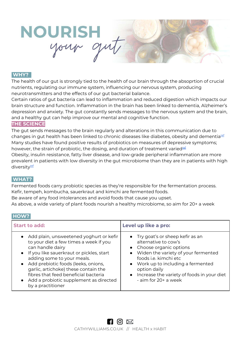

The health of our gut is strongly tied to the health of our brain through the absoprtion of crucial nutrients, regulating our immune system, influencing our nervous system, producing neurotransmitters and the effects of our gut bacterial balance.

Certain ratios of gut bacteria can lead to inflammation and reduced digestion which impacts our brain structure and function. Inflammation in the brain has been linked to dementia, Alzheimer's depression and anxiety. The gut constantly sends messages to the nervous system and the brain, and a healthy gut can help improve our mental and cognitive function.

#### **THE SCIENCE**

The gut sends messages to the brain regularly and alterations in this communication due to changes in gut health has been linked to chronic diseases like diabetes, obesity and dementia<sup>[ref](https://www.ncbi.nlm.nih.gov/pmc/articles/PMC6047317/)</sup> Many studies have found positive results of probiotics on measures of depressive symptoms; however, the strain of probiotic, the dosing, and duration of treatment varied<sup>[ref](https://annals-general-psychiatry.biomedcentral.com/articles/10.1186/s12991-017-0138-2)</sup> Obesity, insulin resistance, fatty liver disease, and low-grade peripheral inflammation are more prevalent in patients with low diversity in the gut microbiome than they are in patients with high

## **WHAT?.**

diversity<sup>[ref](https://pubmed.ncbi.nlm.nih.gov/28615382/)</sup>

Fermented foods carry probiotic species as they're responsible for the fermentation process. Kefir, tempeh, kombucha, sauerkraut and kimchi are fermented foods.

Be aware of any food intolerances and avoid foods that cause you upset.

As above, a wide variety of plant foods nourish a healthy microbiome, so aim for 20+ a week

## **HOW?.**

| <b>Start to add:</b>                                                                                                                                                                                                                                                                                                                                                          | Level up like a pro:                                                                                                                                                                                                                                                                  |
|-------------------------------------------------------------------------------------------------------------------------------------------------------------------------------------------------------------------------------------------------------------------------------------------------------------------------------------------------------------------------------|---------------------------------------------------------------------------------------------------------------------------------------------------------------------------------------------------------------------------------------------------------------------------------------|
| • Add plain, unsweetened yoghurt or kefir<br>to your diet a few times a week if you<br>can handle dairy<br>• If you like sauerkraut or pickles, start<br>adding some to your meals.<br>• Add prebiotic foods (leeks, onions,<br>garlic, artichoke) these contain the<br>fibres that feed beneficial bacteria<br>• Add a probiotic supplement as directed<br>by a practitioner | • Try goat's or sheep kefir as an<br>alternative to cow's<br>• Choose organic options<br>• Widen the variety of your fermented<br>foods i.e. kimchi etc<br>• Work up to including a fermented<br>option daily<br>• Increase the variety of foods in your diet<br>- aim for 20+ a week |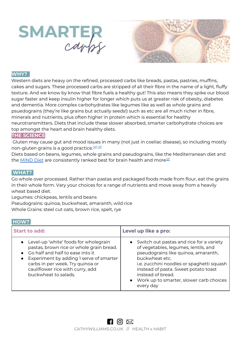



Western diets are heavy on the refined, processed carbs like breads, pastas, pastries, muffins, cakes and sugars. These processed carbs are stripped of all their fibre in the name of a light, fluffy texture. And we know by know that fibre fuels a healthy gut! This also means they spike our blood sugar faster and keep insulin higher for longer which puts us at greater risk of obesity, diabetes and dementia. More complex carbohydrates like legumes like as well as whole grains and psuedograins (they're like grains but actually seeds!) such as etc are all much richer in fibre, minerals and nutrients, plus often higher in protein which is essential for healthy neurotransmitters. Diets that include these slower absorbed, smarter carbohydrate choices are top amongst the heart and brain healthy diets.

## **THE SCIENCE**

 Gluten may cause gut and mood issues in many (not just in coeliac disease), so including mostly non-gluten grains is a good practice.<sup>[ref](https://www.ncbi.nlm.nih.gov/pmc/articles/PMC3384703/)</sup>, [ref](https://www.ncbi.nlm.nih.gov/pmc/articles/PMC6266949/)

Diets based on beans, legumes, whole grains and pseudograins, like the Mediterranean diet and the [MIND Diet](http://cathywilliams.lpages.co/minddiet) are consistently ranked best for brain health and more<sup>[ref](https://www.medicinenet.com/script/main/art.asp?articlekey=227177)</sup>

## **WHAT?.**

Go whole over processed. Rather than pastas and packaged foods made from flour, eat the grains in their whole form. Vary your choices for a range of nutrients and move away from a heavily wheat based diet.

Legumes: chickpeas, lentils and beans

Pseudograins: quinoa, buckwheat, amaranth, wild rice

Whole Grains: steel cut oats, brown rice, spelt, rye

## **HOW?**

| <b>Start to add:</b>                                                                                                                                                                                                                                                   | Level up like a pro:                                                                                                                                                                                                                                                                                          |
|------------------------------------------------------------------------------------------------------------------------------------------------------------------------------------------------------------------------------------------------------------------------|---------------------------------------------------------------------------------------------------------------------------------------------------------------------------------------------------------------------------------------------------------------------------------------------------------------|
| • Level-up 'white' foods for wholegrain<br>pastas, brown rice or whole grain bread.<br>• Go half and half to ease into it<br>• Experiment by adding I serve of smarter<br>carbs in per week. Try quinoa or<br>cauliflower rice with curry, add<br>buckwheat to salads. | Switch out pastas and rice for a variety<br>of vegetables, legumes, lentils, and<br>pseudograins like quinoa, amaranth,<br>buckwheat etc.<br>i.e. zucchini noodles or spaghetti squash<br>instead of pasta. Sweet potato toast<br>instead of bread.<br>• Work up to smarter, slower carb choices<br>every day |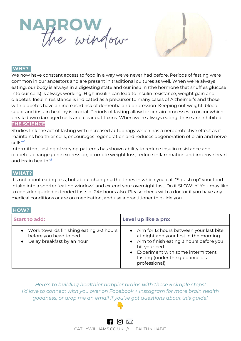



We now have constant access to food in a way we've never had before. Periods of fasting were common in our ancestors and are present in traditional cultures as well. When we're always eating, our body is always in a digesting state and our insulin (the hormone that shuffles glucose into our cells) is always working. High insulin can lead to insulin resistance, weight gain and diabetes. Insulin resistance is indicated as a precursor to many cases of Alzheimer's and those with diabetes have an increased risk of dementia and depression. Keeping out weight, blood sugar and insulin healthy is crucial. Periods of fasting allow for certain processes to occur which break down damaged cells and clear out toxins. When we're always eating, these are inhibited. **THE SCIENCE**

Studies link the act of fasting with increased autophagy which has a neroprotective effect as it maintains healthier cells, encourages regeneration and reduces degeneration of brain and nerve cells[ref](https://www.ncbi.nlm.nih.gov/pmc/articles/PMC3106288/)

Intermittent fasting of varying patterns has shown ability to reduce insulin resistance and diabetes, change gene expression, promote weight loss, reduce inflammation and improve heart and brain health<sup>[ref](https://www.healthline.com/nutrition/10-health-benefits-of-intermittent-fasting#TOC_TITLE_HDR_3)</sup>

## **WHAT?.**

It's not about eating less, but about changing the times in which you eat. "Squish up" your food intake into a shorter "eating window" and extend your overnight fast. Do it SLOWLY! You may like to consider guided extended fasts of 24+ hours also. Please check with a doctor if you have any medical conditions or are on medication, and use a practitioner to guide you.

## **HOW?**

| <b>Start to add:</b>                                                                                | Level up like a pro:                                                                                                                                                                                                                         |
|-----------------------------------------------------------------------------------------------------|----------------------------------------------------------------------------------------------------------------------------------------------------------------------------------------------------------------------------------------------|
| • Work towards finishing eating 2-3 hours<br>before you head to bed<br>• Delay breakfast by an hour | • Aim for 12 hours between your last bite<br>at night and your first in the morning<br>• Aim to finish eating 3 hours before you<br>hit your bed<br>• Experiment with some intermittent<br>fasting (under the guidance of a<br>professional) |

*Here's to building healthier happier brains with these 5 simple steps! I'd love to connect with you over on Facebook + Instagram for more brain health goodness, or drop me an email if you've got questions about this guide!* 

> $\blacksquare$  0  $\boxtimes$ [CATHYWILLIAMS.CO.UK](http://www.cathywilliams.co.uk/) // HEALTH x HABIT